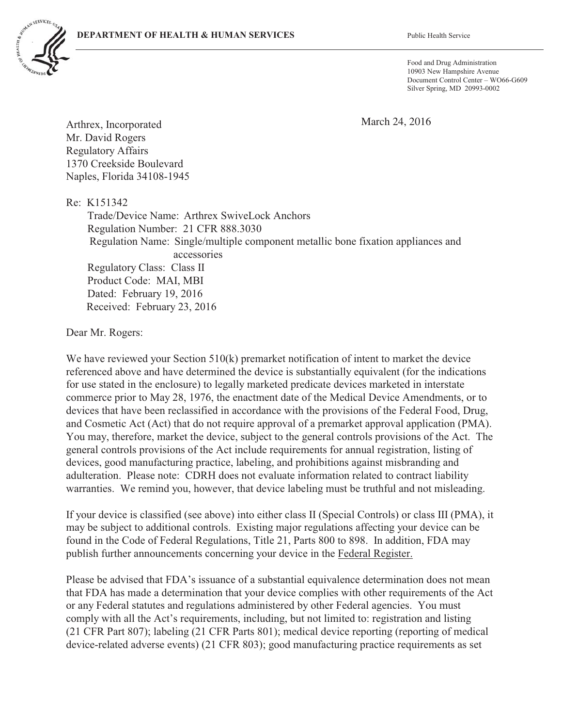

Food and Drug Administration 10903 New Hampshire Avenue Document Control Center – WO66-G609 Silver Spring, MD 20993-0002

March 24, 2016

Arthrex, Incorporated Mr. David Rogers Regulatory Affairs 1370 Creekside Boulevard Naples, Florida 34108-1945

Re: K151342 Trade/Device Name: Arthrex SwiveLock Anchors Regulation Number: 21 CFR 888.3030 Regulation Name: Single/multiple component metallic bone fixation appliances and accessories Regulatory Class: Class II Product Code: MAI, MBI Dated: February 19, 2016 Received: February 23, 2016

Dear Mr. Rogers:

We have reviewed your Section 510(k) premarket notification of intent to market the device referenced above and have determined the device is substantially equivalent (for the indications for use stated in the enclosure) to legally marketed predicate devices marketed in interstate commerce prior to May 28, 1976, the enactment date of the Medical Device Amendments, or to devices that have been reclassified in accordance with the provisions of the Federal Food, Drug, and Cosmetic Act (Act) that do not require approval of a premarket approval application (PMA). You may, therefore, market the device, subject to the general controls provisions of the Act. The general controls provisions of the Act include requirements for annual registration, listing of devices, good manufacturing practice, labeling, and prohibitions against misbranding and adulteration. Please note: CDRH does not evaluate information related to contract liability warranties. We remind you, however, that device labeling must be truthful and not misleading.

If your device is classified (see above) into either class II (Special Controls) or class III (PMA), it may be subject to additional controls. Existing major regulations affecting your device can be found in the Code of Federal Regulations, Title 21, Parts 800 to 898. In addition, FDA may publish further announcements concerning your device in the Federal Register.

Please be advised that FDA's issuance of a substantial equivalence determination does not mean that FDA has made a determination that your device complies with other requirements of the Act or any Federal statutes and regulations administered by other Federal agencies. You must comply with all the Act's requirements, including, but not limited to: registration and listing (21 CFR Part 807); labeling (21 CFR Parts 801); medical device reporting (reporting of medical device-related adverse events) (21 CFR 803); good manufacturing practice requirements as set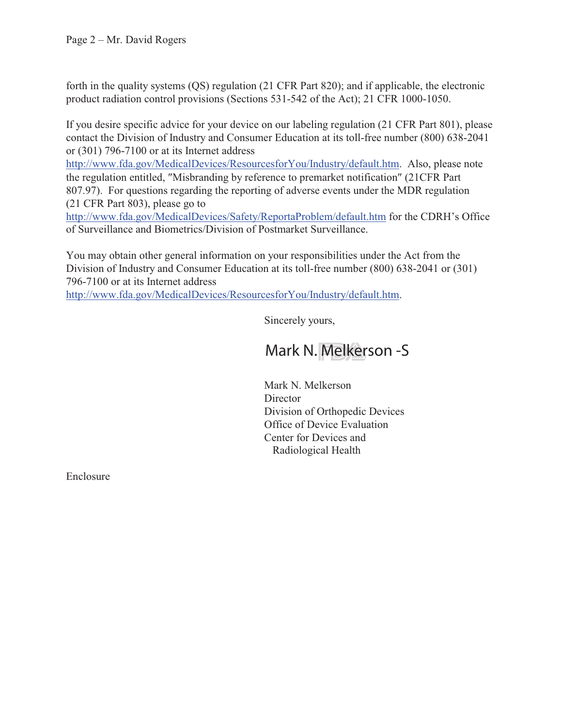forth in the quality systems (QS) regulation (21 CFR Part 820); and if applicable, the electronic product radiation control provisions (Sections 531-542 of the Act); 21 CFR 1000-1050.

If you desire specific advice for your device on our labeling regulation (21 CFR Part 801), please contact the Division of Industry and Consumer Education at its toll-free number (800) 638-2041 or (301) 796-7100 or at its Internet address

http://www.fda.gov/MedicalDevices/ResourcesforYou/Industry/default.htm. Also, please note the regulation entitled, "Misbranding by reference to premarket notification" (21CFR Part 807.97). For questions regarding the reporting of adverse events under the MDR regulation (21 CFR Part 803), please go to

http://www.fda.gov/MedicalDevices/Safety/ReportaProblem/default.htm for the CDRH's Office of Surveillance and Biometrics/Division of Postmarket Surveillance.

You may obtain other general information on your responsibilities under the Act from the Division of Industry and Consumer Education at its toll-free number (800) 638-2041 or (301) 796-7100 or at its Internet address

http://www.fda.gov/MedicalDevices/ResourcesforYou/Industry/default.htm.

Sincerely yours,

## Mark N. Melkerson -S

Mark N. Melkerson **Director** Division of Orthopedic Devices Office of Device Evaluation Center for Devices and Radiological Health

Enclosure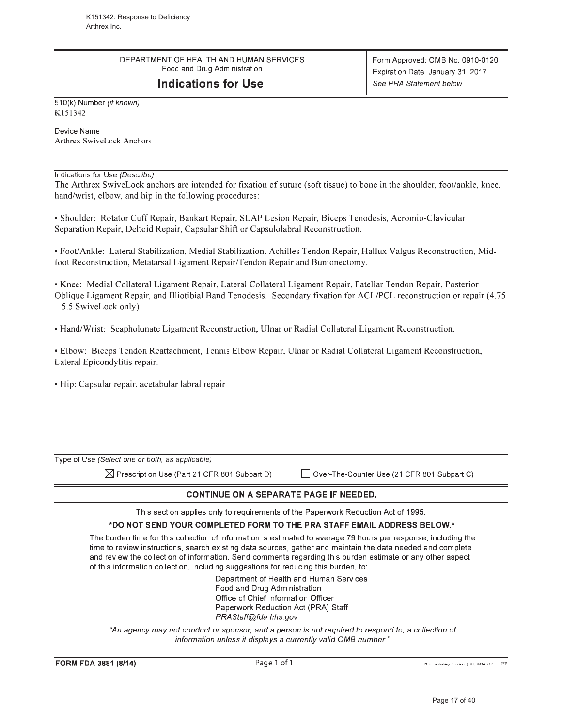DEPARTMENT OF HEALTH AND HUMAN SERVICES Food and Drug Administration

## **Indications for Use**

510(k) Number (if known) K151342

Device Name **Arthrex SwiveLock Anchors** 

Indications for Use (Describe)

The Arthrex SwiveLock anchors are intended for fixation of suture (soft tissue) to bone in the shoulder, foot/ankle, knee, hand/wrist, elbow, and hip in the following procedures:

• Shoulder: Rotator Cuff Repair, Bankart Repair, SLAP Lesion Repair, Biceps Tenodesis, Acromio-Clavicular Separation Repair, Deltoid Repair, Capsular Shift or Capsulolabral Reconstruction.

• Foot/Ankle: Lateral Stabilization, Medial Stabilization, Achilles Tendon Repair, Hallux Valgus Reconstruction, Midfoot Reconstruction, Metatarsal Ligament Repair/Tendon Repair and Bunionectomy.

• Knee: Medial Collateral Ligament Repair, Lateral Collateral Ligament Repair, Patellar Tendon Repair, Posterior Oblique Ligament Repair, and Illiotibial Band Tenodesis. Secondary fixation for ACL/PCL reconstruction or repair (4.75 -5.5 SwiveLock only).

• Hand/Wrist: Scapholunate Ligament Reconstruction, Ulnar or Radial Collateral Ligament Reconstruction.

• Elbow: Biceps Tendon Reattachment, Tennis Elbow Repair, Ulnar or Radial Collateral Ligament Reconstruction, Lateral Epicondylitis repair.

· Hip: Capsular repair, acetabular labral repair

| <b>CONTINUE ON A SEPARATE PAGE IF NEEDED.</b>          |                                             |  |  |
|--------------------------------------------------------|---------------------------------------------|--|--|
| $\bowtie$ Prescription Use (Part 21 CFR 801 Subpart D) | Over-The-Counter Use (21 CFR 801 Subpart C) |  |  |
| Type of Use (Select one or both, as applicable)        |                                             |  |  |

This section applies only to requirements of the Paperwork Reduction Act of 1995.

## \*DO NOT SEND YOUR COMPLETED FORM TO THE PRA STAFF EMAIL ADDRESS BELOW.\*

The burden time for this collection of information is estimated to average 79 hours per response, including the time to review instructions, search existing data sources, gather and maintain the data needed and complete and review the collection of information. Send comments regarding this burden estimate or any other aspect of this information collection, including suggestions for reducing this burden, to:

> Department of Health and Human Services Food and Drug Administration Office of Chief Information Officer Paperwork Reduction Act (PRA) Staff PRAStaff@fda.hhs.gov

"An agency may not conduct or sponsor, and a person is not required to respond to, a collection of information unless it displays a currently valid OMB number."

Page 1 of 1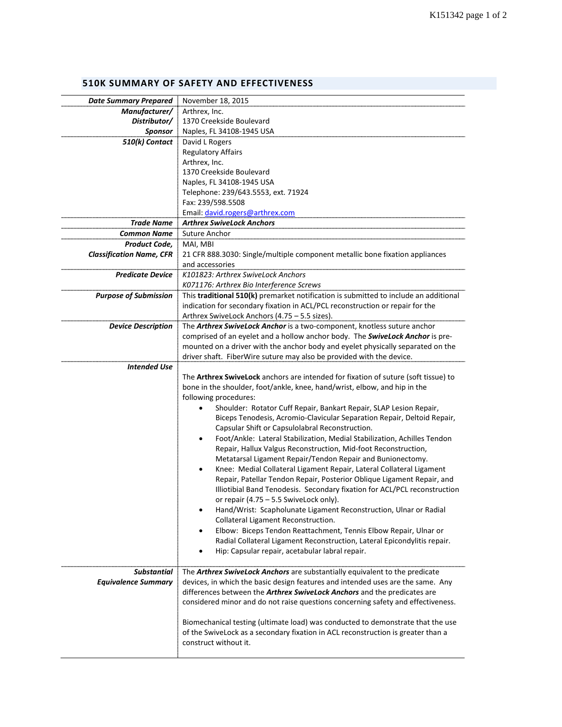## **510K SUMMARY OF SAFETY AND EFFECTIVENESS**

| <b>Date Summary Prepared</b>    | November 18, 2015                                                                         |
|---------------------------------|-------------------------------------------------------------------------------------------|
|                                 |                                                                                           |
| Manufacturer/                   | Arthrex, Inc.<br>1370 Creekside Boulevard                                                 |
| Distributor/                    |                                                                                           |
| <b>Sponsor</b>                  | Naples, FL 34108-1945 USA                                                                 |
| 510(k) Contact                  | David L Rogers                                                                            |
|                                 | <b>Regulatory Affairs</b>                                                                 |
|                                 | Arthrex, Inc.                                                                             |
|                                 | 1370 Creekside Boulevard                                                                  |
|                                 | Naples, FL 34108-1945 USA                                                                 |
|                                 | Telephone: 239/643.5553, ext. 71924                                                       |
|                                 | Fax: 239/598.5508                                                                         |
|                                 | Email: david.rogers@arthrex.com                                                           |
| <b>Trade Name</b>               | <b>Arthrex SwiveLock Anchors</b>                                                          |
| <b>Common Name</b>              | Suture Anchor                                                                             |
| Product Code,                   | MAI, MBI                                                                                  |
| <b>Classification Name, CFR</b> | 21 CFR 888.3030: Single/multiple component metallic bone fixation appliances              |
|                                 | and accessories                                                                           |
| <b>Predicate Device</b>         | K101823: Arthrex SwiveLock Anchors                                                        |
|                                 | K071176: Arthrex Bio Interference Screws                                                  |
|                                 |                                                                                           |
| <b>Purpose of Submission</b>    | This traditional 510(k) premarket notification is submitted to include an additional      |
|                                 | indication for secondary fixation in ACL/PCL reconstruction or repair for the             |
|                                 | Arthrex SwiveLock Anchors (4.75 - 5.5 sizes).                                             |
| <b>Device Description</b>       | The <b>Arthrex SwiveLock Anchor</b> is a two-component, knotless suture anchor            |
|                                 | comprised of an eyelet and a hollow anchor body. The SwiveLock Anchor is pre-             |
|                                 | mounted on a driver with the anchor body and eyelet physically separated on the           |
|                                 | driver shaft. FiberWire suture may also be provided with the device.                      |
| <b>Intended Use</b>             |                                                                                           |
|                                 | The <b>Arthrex SwiveLock</b> anchors are intended for fixation of suture (soft tissue) to |
|                                 | bone in the shoulder, foot/ankle, knee, hand/wrist, elbow, and hip in the                 |
|                                 | following procedures:                                                                     |
|                                 | Shoulder: Rotator Cuff Repair, Bankart Repair, SLAP Lesion Repair,                        |
|                                 | Biceps Tenodesis, Acromio-Clavicular Separation Repair, Deltoid Repair,                   |
|                                 | Capsular Shift or Capsulolabral Reconstruction.                                           |
|                                 | Foot/Ankle: Lateral Stabilization, Medial Stabilization, Achilles Tendon<br>٠             |
|                                 | Repair, Hallux Valgus Reconstruction, Mid-foot Reconstruction,                            |
|                                 | Metatarsal Ligament Repair/Tendon Repair and Bunionectomy.                                |
|                                 | Knee: Medial Collateral Ligament Repair, Lateral Collateral Ligament<br>٠                 |
|                                 | Repair, Patellar Tendon Repair, Posterior Oblique Ligament Repair, and                    |
|                                 | Illiotibial Band Tenodesis. Secondary fixation for ACL/PCL reconstruction                 |
|                                 | or repair (4.75 - 5.5 SwiveLock only).                                                    |
|                                 | Hand/Wrist: Scapholunate Ligament Reconstruction, Ulnar or Radial<br>٠                    |
|                                 | Collateral Ligament Reconstruction.                                                       |
|                                 | Elbow: Biceps Tendon Reattachment, Tennis Elbow Repair, Ulnar or                          |
|                                 | Radial Collateral Ligament Reconstruction, Lateral Epicondylitis repair.                  |
|                                 |                                                                                           |
|                                 | Hip: Capsular repair, acetabular labral repair.                                           |
| <b>Substantial</b>              | The Arthrex SwiveLock Anchors are substantially equivalent to the predicate               |
| <b>Equivalence Summary</b>      | devices, in which the basic design features and intended uses are the same. Any           |
|                                 |                                                                                           |
|                                 | differences between the <b>Arthrex SwiveLock Anchors</b> and the predicates are           |
|                                 | considered minor and do not raise questions concerning safety and effectiveness.          |
|                                 |                                                                                           |
|                                 | Biomechanical testing (ultimate load) was conducted to demonstrate that the use           |
|                                 | of the SwiveLock as a secondary fixation in ACL reconstruction is greater than a          |
|                                 | construct without it.                                                                     |
|                                 |                                                                                           |